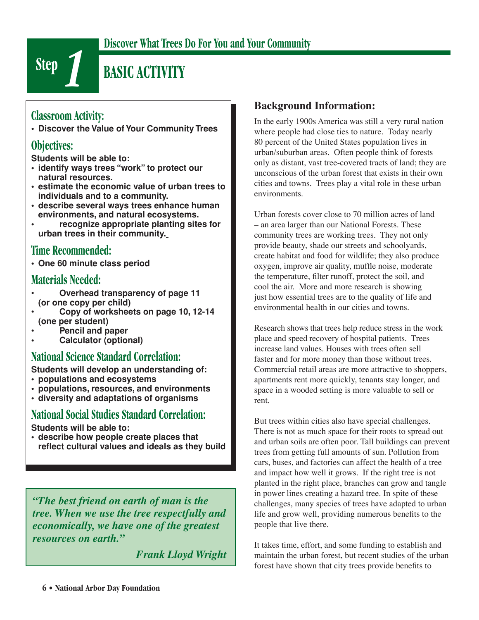

### **Discover What Trees Do For You and Your Community**

# **BASIC ACTIVITY**

### **Classroom Activity:**

**• Discover the Value of Your Community Trees**

#### **Objectives:**

**Students will be able to:**

- **identify ways trees "work" to protect our natural resources.**
- **estimate the economic value of urban trees to individuals and to a community.**
- **describe several ways trees enhance human environments, and natural ecosystems.**
- **recognize appropriate planting sites for urban trees in their community.**

### **Time Recommended:**

**• One 60 minute class period**

### **Materials Needed:**

- **Overhead transparency of page 11 (or one copy per child)**
- **Copy of worksheets on page 10, 12-14 (one per student)**
- **Pencil and paper**
- **Calculator (optional)**

## **National Science Standard Correlation:**

**Students will develop an understanding of:**

- **populations and ecosystems**
- **populations, resources, and environments**
- **diversity and adaptations of organisms**

### **National Social Studies Standard Correlation:**

**Students will be able to:** 

**• describe how people create places that**  reflect cultural values and ideals as they build

*"The best friend on earth of man is the tree. When we use the tree respectfully and economically, we have one of the greatest resources on earth."* 

 *Frank Lloyd Wright*

#### **Background Information:**

In the early 1900s America was still a very rural nation where people had close ties to nature. Today nearly 80 percent of the United States population lives in urban/suburban areas. Often people think of forests only as distant, vast tree-covered tracts of land; they are unconscious of the urban forest that exists in their own cities and towns. Trees play a vital role in these urban environments.

Urban forests cover close to 70 million acres of land – an area larger than our National Forests. These community trees are working trees. They not only provide beauty, shade our streets and schoolyards, create habitat and food for wildlife; they also produce oxygen, improve air quality, muffle noise, moderate the temperature, filter runoff, protect the soil, and cool the air. More and more research is showing just how essential trees are to the quality of life and environmental health in our cities and towns.

Research shows that trees help reduce stress in the work place and speed recovery of hospital patients. Trees increase land values. Houses with trees often sell faster and for more money than those without trees. Commercial retail areas are more attractive to shoppers, apartments rent more quickly, tenants stay longer, and space in a wooded setting is more valuable to sell or rent.

But trees within cities also have special challenges. There is not as much space for their roots to spread out and urban soils are often poor. Tall buildings can prevent trees from getting full amounts of sun. Pollution from cars, buses, and factories can affect the health of a tree and impact how well it grows. If the right tree is not planted in the right place, branches can grow and tangle in power lines creating a hazard tree. In spite of these challenges, many species of trees have adapted to urban life and grow well, providing numerous benefits to the people that live there.

It takes time, effort, and some funding to establish and maintain the urban forest, but recent studies of the urban forest have shown that city trees provide benefits to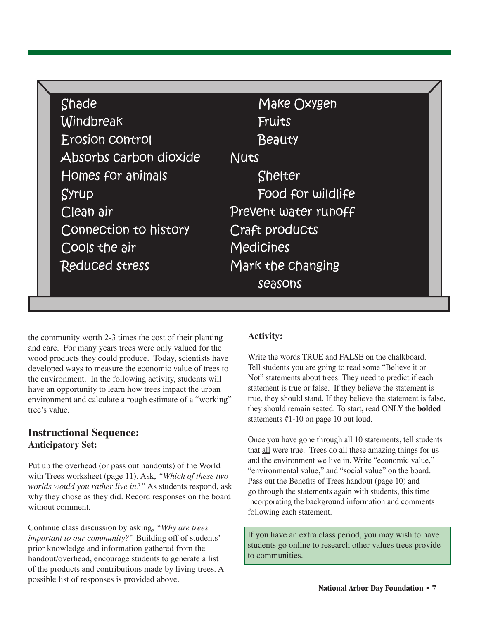| Shade                  | Make Oxygen          |
|------------------------|----------------------|
| Windbreak              | Fruits               |
| Erosion control        | Beauty               |
| Absorbs Carbon dioxide | <b>Nuts</b>          |
| Homes for animals      | <b>Shelter</b>       |
| Syrup                  | Food for wildlife    |
| Clean air              | Prevent water runoff |
| Connection to history  | Craft products       |
| Cools the air          | <b>Medicines</b>     |
| <b>Reduced stress</b>  | Mark the Changing    |
|                        | seasons              |

the community worth 2-3 times the cost of their planting and care. For many years trees were only valued for the wood products they could produce. Today, scientists have developed ways to measure the economic value of trees to the environment. In the following activity, students will have an opportunity to learn how trees impact the urban environment and calculate a rough estimate of a "working" tree's value.

#### **Instructional Sequence: Anticipatory Set:**

Put up the overhead (or pass out handouts) of the World with Trees worksheet (page 11). Ask, *"Which of these two worlds would you rather live in?"* As students respond, ask why they chose as they did. Record responses on the board without comment.

Continue class discussion by asking, *"Why are trees important to our community?"* Building off of students' prior knowledge and information gathered from the handout/overhead, encourage students to generate a list of the products and contributions made by living trees. A possible list of responses is provided above.

#### **Activity:**

Write the words TRUE and FALSE on the chalkboard. Tell students you are going to read some "Believe it or Not" statements about trees. They need to predict if each statement is true or false. If they believe the statement is true, they should stand. If they believe the statement is false, they should remain seated. To start, read ONLY the **bolded** statements #1-10 on page 10 out loud.

Once you have gone through all 10 statements, tell students that all were true. Trees do all these amazing things for us and the environment we live in. Write "economic value," "environmental value," and "social value" on the board. Pass out the Benefits of Trees handout (page 10) and go through the statements again with students, this time incorporating the background information and comments following each statement.

If you have an extra class period, you may wish to have students go online to research other values trees provide to communities.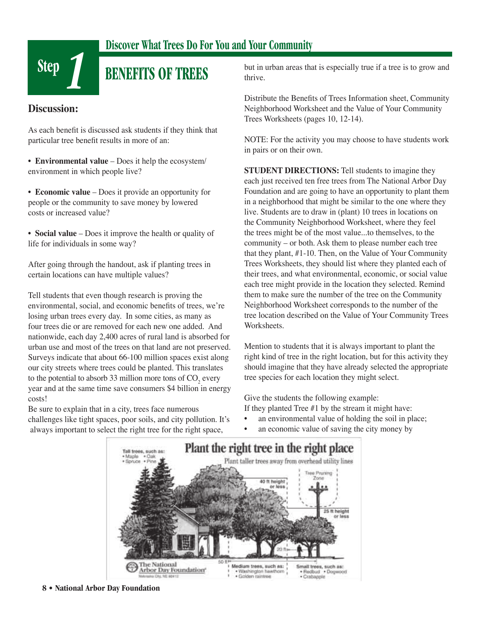

## **Discover What Trees Do For You and Your Community**

# **BENEFITS OF TREES**

#### **Discussion:**

As each benefit is discussed ask students if they think that particular tree benefit results in more of an:

• **Environmental value** – Does it help the ecosystem/ environment in which people live?

• **Economic value** – Does it provide an opportunity for people or the community to save money by lowered costs or increased value?

• **Social value** – Does it improve the health or quality of life for individuals in some way?

After going through the handout, ask if planting trees in certain locations can have multiple values?

Tell students that even though research is proving the environmental, social, and economic benefits of trees, we're losing urban trees every day. In some cities, as many as four trees die or are removed for each new one added. And nationwide, each day 2,400 acres of rural land is absorbed for urban use and most of the trees on that land are not preserved. Surveys indicate that about 66-100 million spaces exist along our city streets where trees could be planted. This translates to the potential to absorb 33 million more tons of  $CO_2$  every year and at the same time save consumers \$4 billion in energy costs!

Be sure to explain that in a city, trees face numerous challenges like tight spaces, poor soils, and city pollution. It's always important to select the right tree for the right space,

but in urban areas that is especially true if a tree is to grow and thrive.

Distribute the Benefits of Trees Information sheet, Community Neighborhood Worksheet and the Value of Your Community Trees Worksheets (pages 10, 12-14).

NOTE: For the activity you may choose to have students work in pairs or on their own.

**STUDENT DIRECTIONS:** Tell students to imagine they each just received ten free trees from The National Arbor Day Foundation and are going to have an opportunity to plant them in a neighborhood that might be similar to the one where they live. Students are to draw in (plant) 10 trees in locations on the Community Neighborhood Worksheet, where they feel the trees might be of the most value...to themselves, to the community – or both. Ask them to please number each tree that they plant, #1-10. Then, on the Value of Your Community Trees Worksheets, they should list where they planted each of their trees, and what environmental, economic, or social value each tree might provide in the location they selected. Remind them to make sure the number of the tree on the Community Neighborhood Worksheet corresponds to the number of the tree location described on the Value of Your Community Trees Worksheets.

Mention to students that it is always important to plant the right kind of tree in the right location, but for this activity they should imagine that they have already selected the appropriate tree species for each location they might select.

Give the students the following example: If they planted Tree #1 by the stream it might have:

- an environmental value of holding the soil in place;
- an economic value of saving the city money by

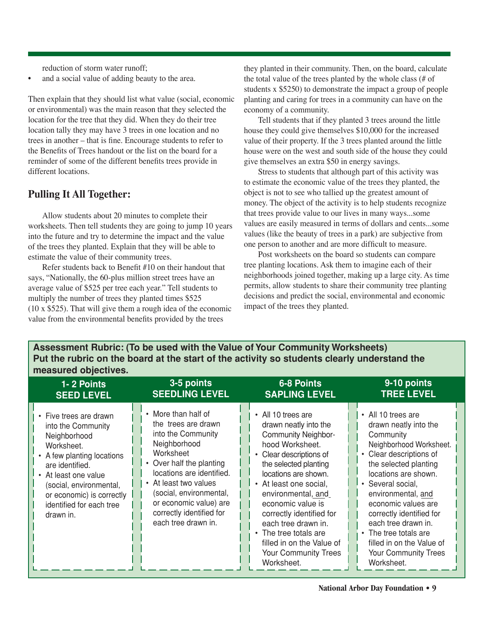reduction of storm water runoff;

and a social value of adding beauty to the area.

Then explain that they should list what value (social, economic or environmental) was the main reason that they selected the location for the tree that they did. When they do their tree location tally they may have 3 trees in one location and no trees in another – that is fine. Encourage students to refer to the Benefits of Trees handout or the list on the board for a reminder of some of the different benefits trees provide in different locations.

#### **Pulling It All Together:**

 Allow students about 20 minutes to complete their worksheets. Then tell students they are going to jump 10 years into the future and try to determine the impact and the value of the trees they planted. Explain that they will be able to estimate the value of their community trees.

Refer students back to Benefit  $#10$  on their handout that says, "Nationally, the 60-plus million street trees have an average value of \$525 per tree each year." Tell students to multiply the number of trees they planted times \$525 (10 x \$525). That will give them a rough idea of the economic value from the environmental benefits provided by the trees

they planted in their community. Then, on the board, calculate the total value of the trees planted by the whole class (# of students x \$5250) to demonstrate the impact a group of people planting and caring for trees in a community can have on the economy of a community.

 Tell students that if they planted 3 trees around the little house they could give themselves \$10,000 for the increased value of their property. If the 3 trees planted around the little house were on the west and south side of the house they could give themselves an extra \$50 in energy savings.

 Stress to students that although part of this activity was to estimate the economic value of the trees they planted, the object is not to see who tallied up the greatest amount of money. The object of the activity is to help students recognize that trees provide value to our lives in many ways...some values are easily measured in terms of dollars and cents...some values (like the beauty of trees in a park) are subjective from one person to another and are more difficult to measure.

 Post worksheets on the board so students can compare tree planting locations. Ask them to imagine each of their neighborhoods joined together, making up a large city. As time permits, allow students to share their community tree planting decisions and predict the social, environmental and economic impact of the trees they planted.

**Assessment Rubric: (To be used with the Value of Your Community Worksheets) Put the rubric on the board at the start of the activity so students clearly understand the measured objectives.**

| 1-2 Points                                                                                                                                                                                                                                           | 3-5 points                                                                                                                                                                                                                                                                              | <b>6-8 Points</b>                                                                                                                                                                                                                                                                                                                                                                                   | 9-10 points                                                                                                                                                                                                                                                                                                                                                                                        |
|------------------------------------------------------------------------------------------------------------------------------------------------------------------------------------------------------------------------------------------------------|-----------------------------------------------------------------------------------------------------------------------------------------------------------------------------------------------------------------------------------------------------------------------------------------|-----------------------------------------------------------------------------------------------------------------------------------------------------------------------------------------------------------------------------------------------------------------------------------------------------------------------------------------------------------------------------------------------------|----------------------------------------------------------------------------------------------------------------------------------------------------------------------------------------------------------------------------------------------------------------------------------------------------------------------------------------------------------------------------------------------------|
| <b>SEED LEVEL</b>                                                                                                                                                                                                                                    | <b>SEEDLING LEVEL</b>                                                                                                                                                                                                                                                                   | <b>SAPLING LEVEL</b>                                                                                                                                                                                                                                                                                                                                                                                | <b>TREE LEVEL</b>                                                                                                                                                                                                                                                                                                                                                                                  |
| • Five trees are drawn<br>into the Community<br>Neighborhood<br>Worksheet.<br>• A few planting locations<br>are identified.<br>• At least one value<br>(social, environmental,<br>or economic) is correctly<br>identified for each tree<br>drawn in. | • More than half of<br>the trees are drawn<br>into the Community<br>Neighborhood<br>Worksheet<br>• Over half the planting<br>locations are identified.<br>• At least two values<br>(social, environmental,<br>or economic value) are<br>correctly identified for<br>each tree drawn in. | • All 10 trees are<br>drawn neatly into the<br><b>Community Neighbor-</b><br>hood Worksheet.<br>• Clear descriptions of<br>the selected planting<br>locations are shown.<br>• At least one social,<br>environmental, and<br>economic value is<br>correctly identified for<br>each tree drawn in.<br>• The tree totals are<br>filled in on the Value of<br><b>Your Community Trees</b><br>Worksheet. | • All 10 trees are<br>drawn neatly into the<br>Community<br>Neighborhood Worksheet.<br>• Clear descriptions of<br>the selected planting<br>locations are shown.<br>• Several social,<br>environmental, and<br>economic values are<br>correctly identified for<br>each tree drawn in.<br>The tree totals are<br>$\bullet$<br>filled in on the Value of<br><b>Your Community Trees</b><br>Worksheet. |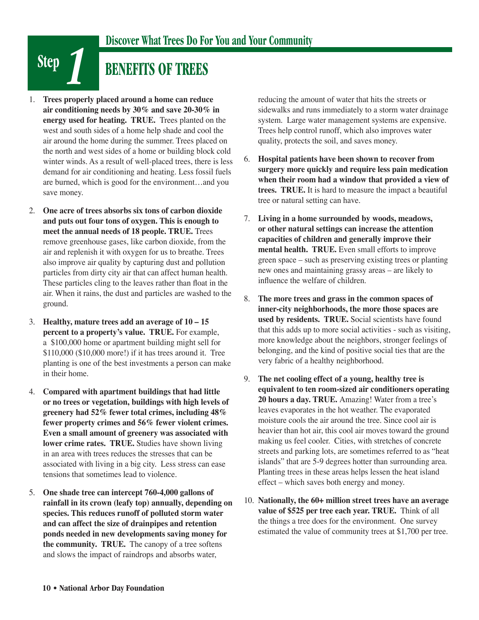# **BENEFITS OF TREES**

- 1. **Trees properly placed around a home can reduce air conditioning needs by 30% and save 20-30% in energy used for heating. TRUE.** Trees planted on the west and south sides of a home help shade and cool the air around the home during the summer. Trees placed on the north and west sides of a home or building block cold winter winds. As a result of well-placed trees, there is less demand for air conditioning and heating. Less fossil fuels are burned, which is good for the environment…and you save money.
- 2. **One acre of trees absorbs six tons of carbon dioxide and puts out four tons of oxygen. This is enough to meet the annual needs of 18 people. TRUE.** Trees remove greenhouse gases, like carbon dioxide, from the air and replenish it with oxygen for us to breathe. Trees also improve air quality by capturing dust and pollution particles from dirty city air that can affect human health. These particles cling to the leaves rather than float in the air. When it rains, the dust and particles are washed to the ground.
- 3. **Healthy, mature trees add an average of 10 15 percent to a property's value. TRUE.** For example, a \$100,000 home or apartment building might sell for \$110,000 (\$10,000 more!) if it has trees around it. Tree planting is one of the best investments a person can make in their home.
- 4. **Compared with apartment buildings that had little or no trees or vegetation, buildings with high levels of greenery had 52% fewer total crimes, including 48% fewer property crimes and 56% fewer violent crimes. Even a small amount of greenery was associated with lower crime rates. TRUE.** Studies have shown living in an area with trees reduces the stresses that can be associated with living in a big city. Less stress can ease tensions that sometimes lead to violence.
- 5. **One shade tree can intercept 760-4,000 gallons of rainfall in its crown (leafy top) annually, depending on species. This reduces runoff of polluted storm water and can affect the size of drainpipes and retention ponds needed in new developments saving money for the community. TRUE.** The canopy of a tree softens and slows the impact of raindrops and absorbs water,

reducing the amount of water that hits the streets or sidewalks and runs immediately to a storm water drainage system. Large water management systems are expensive. Trees help control runoff, which also improves water quality, protects the soil, and saves money.

- 6. **Hospital patients have been shown to recover from surgery more quickly and require less pain medication when their room had a window that provided a view of trees. TRUE.** It is hard to measure the impact a beautiful tree or natural setting can have.
- 7. **Living in a home surrounded by woods, meadows, or other natural settings can increase the attention capacities of children and generally improve their mental health. TRUE.** Even small efforts to improve green space – such as preserving existing trees or planting new ones and maintaining grassy areas – are likely to influence the welfare of children.
- 8. **The more trees and grass in the common spaces of inner-city neighborhoods, the more those spaces are used by residents. TRUE.** Social scientists have found that this adds up to more social activities - such as visiting, more knowledge about the neighbors, stronger feelings of belonging, and the kind of positive social ties that are the very fabric of a healthy neighborhood.
- 9. **The net cooling effect of a young, healthy tree is equivalent to ten room-sized air conditioners operating 20 hours a day. TRUE.** Amazing! Water from a tree's leaves evaporates in the hot weather. The evaporated moisture cools the air around the tree. Since cool air is heavier than hot air, this cool air moves toward the ground making us feel cooler. Cities, with stretches of concrete streets and parking lots, are sometimes referred to as "heat islands" that are 5-9 degrees hotter than surrounding area. Planting trees in these areas helps lessen the heat island effect – which saves both energy and money.
- 10. **Nationally, the 60+ million street trees have an average value of \$525 per tree each year. TRUE.** Think of all the things a tree does for the environment. One survey estimated the value of community trees at \$1,700 per tree.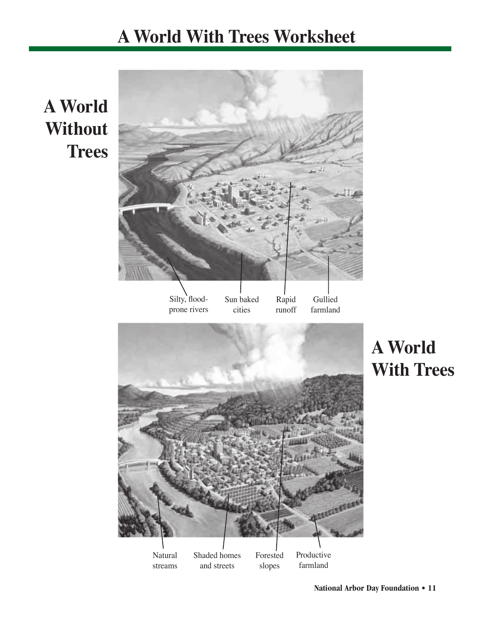# **A World With Trees Worksheet**

# **A World Without Trees**

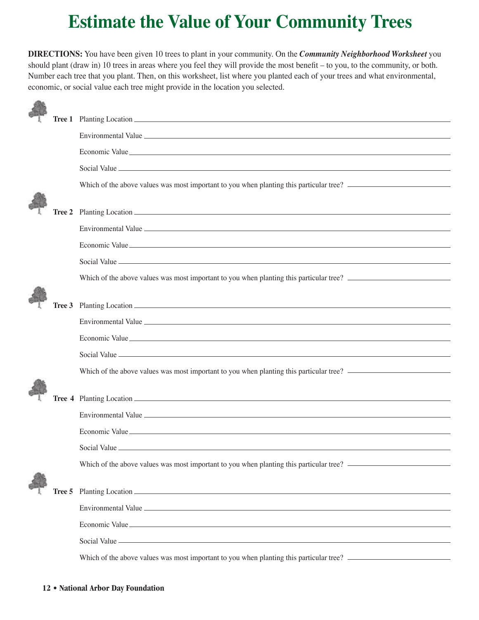# **Estimate the Value of Your Community Trees**

**DIRECTIONS:** You have been given 10 trees to plant in your community. On the *Community Neighborhood Worksheet* you should plant (draw in) 10 trees in areas where you feel they will provide the most benefit – to you, to the community, or both. Number each tree that you plant. Then, on this worksheet, list where you planted each of your trees and what environmental, economic, or social value each tree might provide in the location you selected.

|        | Which of the above values was most important to you when planting this particular tree? |
|--------|-----------------------------------------------------------------------------------------|
|        |                                                                                         |
| Tree 2 |                                                                                         |
|        |                                                                                         |
|        | Economic Value                                                                          |
|        |                                                                                         |
|        | Which of the above values was most important to you when planting this particular tree? |
|        |                                                                                         |
| Tree 3 |                                                                                         |
|        |                                                                                         |
|        |                                                                                         |
|        |                                                                                         |
|        | Which of the above values was most important to you when planting this particular tree? |
|        |                                                                                         |
|        |                                                                                         |
|        |                                                                                         |
|        | Economic Value                                                                          |
|        |                                                                                         |
|        | Which of the above values was most important to you when planting this particular tree? |
|        |                                                                                         |
| Tree 5 |                                                                                         |
|        |                                                                                         |
|        |                                                                                         |
|        |                                                                                         |
|        |                                                                                         |
|        |                                                                                         |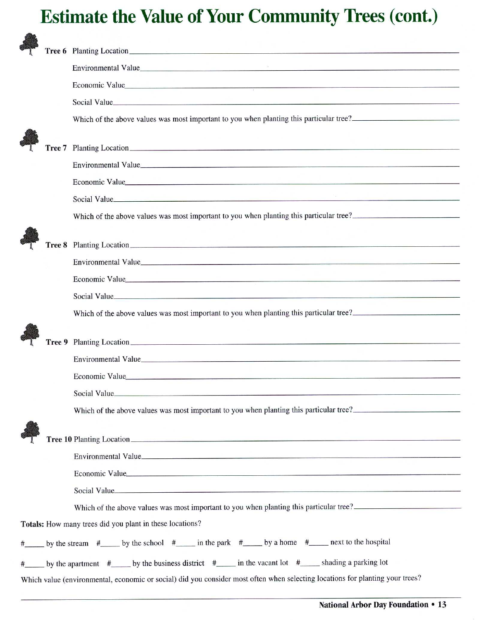# **Estimate the Value of Your Community Trees (cont.)**

|        | Environmental Value                                                                                                           |
|--------|-------------------------------------------------------------------------------------------------------------------------------|
|        | Economic Value                                                                                                                |
|        | Social Value                                                                                                                  |
|        | Which of the above values was most important to you when planting this particular tree?                                       |
|        |                                                                                                                               |
|        |                                                                                                                               |
|        | Environmental Value                                                                                                           |
|        | Economic Value                                                                                                                |
|        | Social Value                                                                                                                  |
|        | Which of the above values was most important to you when planting this particular tree?                                       |
|        | Planting Location                                                                                                             |
| Tree 8 |                                                                                                                               |
|        | Environmental Value                                                                                                           |
|        | Economic Value                                                                                                                |
|        | Social Value                                                                                                                  |
|        | Which of the above values was most important to you when planting this particular tree?                                       |
| Tree 9 |                                                                                                                               |
|        |                                                                                                                               |
|        | Economic Value                                                                                                                |
|        | Social Value                                                                                                                  |
|        | Which of the above values was most important to you when planting this particular tree?                                       |
|        |                                                                                                                               |
|        |                                                                                                                               |
|        |                                                                                                                               |
|        | Economic Value                                                                                                                |
|        | Social Value                                                                                                                  |
|        | Which of the above values was most important to you when planting this particular tree?                                       |
|        | Totals: How many trees did you plant in these locations?                                                                      |
|        | #_______ by the stream #_________ by the school #______ in the park #_______ by a home #_______ next to the hospital          |
|        | # by the apartment # by the business district # in the vacant lot # shading a parking lot                                     |
|        | Which value (environmental, economic or social) did you consider most often when selecting locations for planting your trees? |